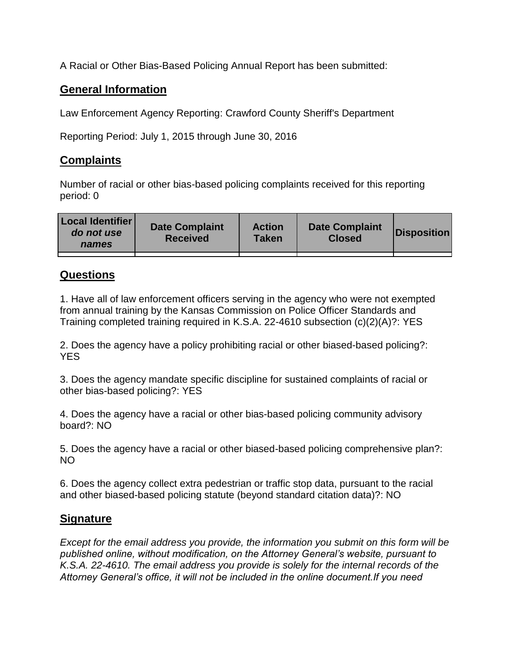A Racial or Other Bias-Based Policing Annual Report has been submitted:

## **General Information**

Law Enforcement Agency Reporting: Crawford County Sheriff's Department

Reporting Period: July 1, 2015 through June 30, 2016

## **Complaints**

Number of racial or other bias-based policing complaints received for this reporting period: 0

| <b>Local Identifier</b><br>do not use<br>names | <b>Date Complaint</b><br><b>Received</b> | <b>Action</b><br><b>Taken</b> | <b>Date Complaint</b><br><b>Closed</b> | Disposition |
|------------------------------------------------|------------------------------------------|-------------------------------|----------------------------------------|-------------|
|                                                |                                          |                               |                                        |             |

## **Questions**

1. Have all of law enforcement officers serving in the agency who were not exempted from annual training by the Kansas Commission on Police Officer Standards and Training completed training required in K.S.A. 22-4610 subsection (c)(2)(A)?: YES

2. Does the agency have a policy prohibiting racial or other biased-based policing?: YES

3. Does the agency mandate specific discipline for sustained complaints of racial or other bias-based policing?: YES

4. Does the agency have a racial or other bias-based policing community advisory board?: NO

5. Does the agency have a racial or other biased-based policing comprehensive plan?: NO

6. Does the agency collect extra pedestrian or traffic stop data, pursuant to the racial and other biased-based policing statute (beyond standard citation data)?: NO

## **Signature**

*Except for the email address you provide, the information you submit on this form will be published online, without modification, on the Attorney General's website, pursuant to K.S.A. 22-4610. The email address you provide is solely for the internal records of the Attorney General's office, it will not be included in the online document.If you need*